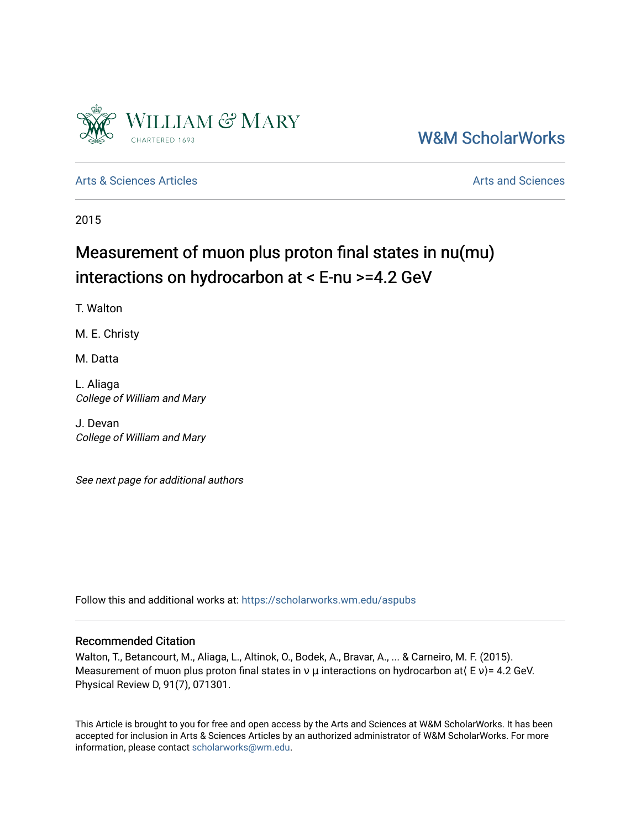

[W&M ScholarWorks](https://scholarworks.wm.edu/) 

[Arts & Sciences Articles](https://scholarworks.wm.edu/aspubs) **Articles** [Arts and Sciences](https://scholarworks.wm.edu/as) Arts and Sciences

2015

# Measurement of muon plus proton final states in nu(mu) interactions on hydrocarbon at < E-nu >=4.2 GeV

T. Walton

M. E. Christy

M. Datta

L. Aliaga College of William and Mary

J. Devan College of William and Mary

See next page for additional authors

Follow this and additional works at: [https://scholarworks.wm.edu/aspubs](https://scholarworks.wm.edu/aspubs?utm_source=scholarworks.wm.edu%2Faspubs%2F994&utm_medium=PDF&utm_campaign=PDFCoverPages) 

### Recommended Citation

Walton, T., Betancourt, M., Aliaga, L., Altinok, O., Bodek, A., Bravar, A., ... & Carneiro, M. F. (2015). Measurement of muon plus proton final states in  $\nu$  μ interactions on hydrocarbon at $( E \nu ) = 4.2$  GeV. Physical Review D, 91(7), 071301.

This Article is brought to you for free and open access by the Arts and Sciences at W&M ScholarWorks. It has been accepted for inclusion in Arts & Sciences Articles by an authorized administrator of W&M ScholarWorks. For more information, please contact [scholarworks@wm.edu](mailto:scholarworks@wm.edu).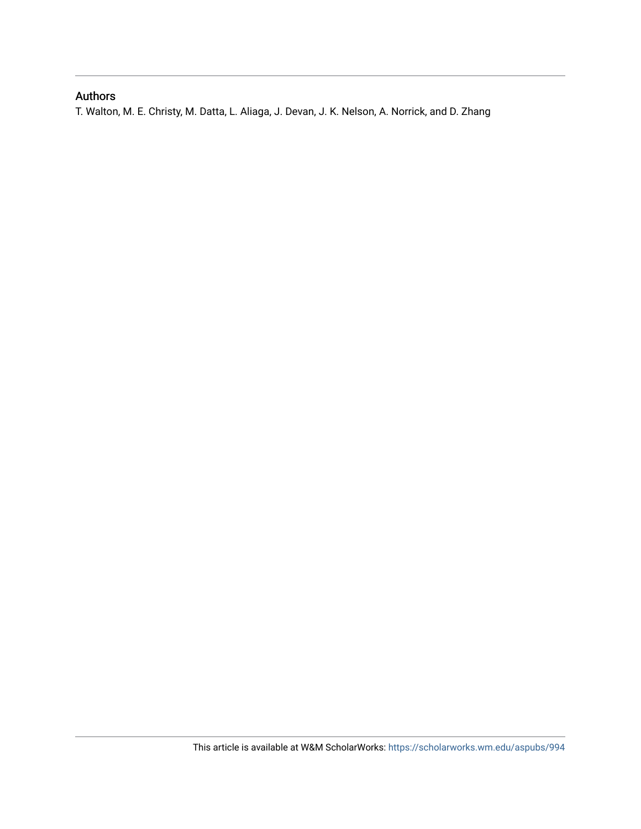# Authors

T. Walton, M. E. Christy, M. Datta, L. Aliaga, J. Devan, J. K. Nelson, A. Norrick, and D. Zhang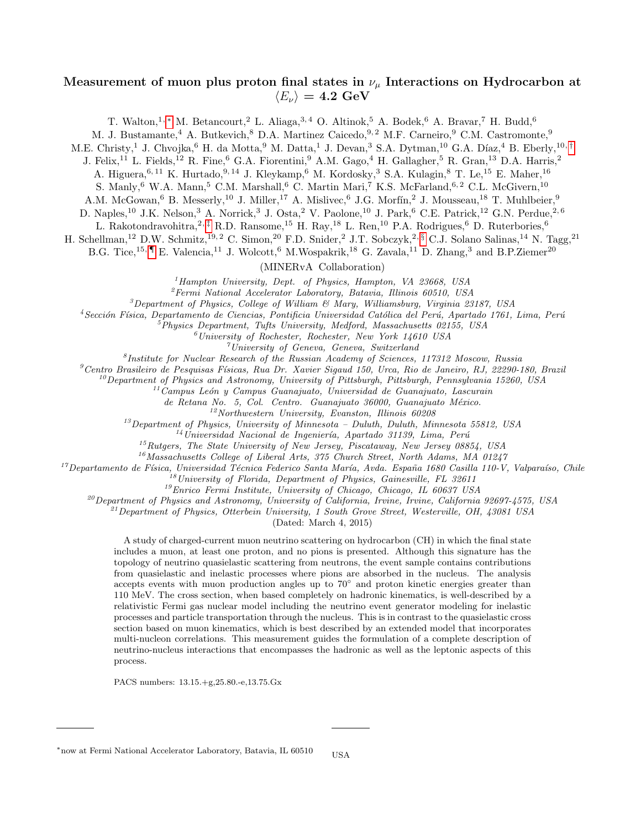## Measurement of muon plus proton final states in  $\nu_{\mu}$  Interactions on Hydrocarbon at  $\langle E_{\nu} \rangle = 4.2 \text{ GeV}$

T. Walton, 1, \* M. Betancourt, 2 L. Aliaga, 3, 4 O. Altinok, 5 A. Bodek, 6 A. Bravar, 7 H. Budd, 6

M. J. Bustamante, <sup>4</sup> A. Butkevich, <sup>8</sup> D.A. Martinez Caicedo, <sup>9, 2</sup> M.F. Carneiro, <sup>9</sup> C.M. Castromonte, <sup>9</sup>

M.E. Christy,<sup>1</sup> J. Chvojka,<sup>6</sup> H. da Motta,<sup>9</sup> M. Datta,<sup>1</sup> J. Devan,<sup>3</sup> S.A. Dytman,<sup>10</sup> G.A. Díaz,<sup>4</sup> B. Eberly,<sup>10,[†](#page-3-0)</sup>

J. Felix,<sup>11</sup> L. Fields,<sup>12</sup> R. Fine,<sup>6</sup> G.A. Fiorentini,<sup>9</sup> A.M. Gago,<sup>4</sup> H. Gallagher,<sup>5</sup> R. Gran,<sup>13</sup> D.A. Harris,<sup>2</sup>

A. Higuera, <sup>6, 11</sup> K. Hurtado, <sup>9, 14</sup> J. Kleykamp, <sup>6</sup> M. Kordosky, <sup>3</sup> S.A. Kulagin, <sup>8</sup> T. Le, <sup>15</sup> E. Maher, <sup>16</sup>

S. Manly,  $6 \,$  W.A. Mann,  $5 \,$  C.M. Marshall,  $6 \,$  C. Martin Mari,  $7 \,$  K.S. McFarland,  $6, 2 \,$  C.L. McGivern,  $^{10}$ 

A.M. McGowan,<sup>6</sup> B. Messerly,<sup>10</sup> J. Miller,<sup>17</sup> A. Mislivec,<sup>6</sup> J.G. Morfín,<sup>2</sup> J. Mousseau,<sup>18</sup> T. Muhlbeier,<sup>9</sup>

D. Naples,<sup>10</sup> J.K. Nelson,<sup>3</sup> A. Norrick,<sup>3</sup> J. Osta,<sup>2</sup> V. Paolone,<sup>10</sup> J. Park,<sup>6</sup> C.E. Patrick,<sup>12</sup> G.N. Perdue,<sup>2,6</sup>

L. Rakotondravohitra,<sup>2, [‡](#page-3-1)</sup> R.D. Ransome,<sup>15</sup> H. Ray,<sup>18</sup> L. Ren,<sup>10</sup> P.A. Rodrigues,<sup>6</sup> D. Ruterbories,<sup>6</sup>

H. Schellman,<sup>12</sup> D.W. Schmitz,<sup>19, 2</sup> C. Simon,<sup>20</sup> F.D. Snider,<sup>2</sup> J.T. Sobczyk,<sup>2, [§](#page-3-2)</sup> C.J. Solano Salinas,<sup>14</sup> N. Tagg,<sup>21</sup>

B.G. Tice,<sup>15, [¶](#page-3-3)</sup> E. Valencia,<sup>11</sup> J. Wolcott,<sup>6</sup> M.Wospakrik,<sup>18</sup> G. Zavala,<sup>11</sup> D. Zhang,<sup>3</sup> and B.P.Ziemer<sup>20</sup>

(MINERvA Collaboration)

 ${}^{1}$ Hampton University, Dept. of Physics, Hampton, VA 23668, USA

 ${}^{2}Fermi$  National Accelerator Laboratory, Batavia, Illinois 60510, USA

 ${}^{3}$ Department of Physics, College of William & Mary, Williamsburg, Virginia 23187, USA

 $4$ Sección Física, Departamento de Ciencias, Pontificia Universidad Católica del Perú, Apartado 1761, Lima, Perú

 $<sup>5</sup>Physics Department, Tufts University, Medford, Massachusetts 02155, USA$ </sup>

 $^6$ University of Rochester, Rochester, New York 14610 USA

 $^\gamma$ University of Geneva, Geneva, Switzerland

8 Institute for Nuclear Research of the Russian Academy of Sciences, 117312 Moscow, Russia

 $^9$ Centro Brasileiro de Pesquisas Físicas, Rua Dr. Xavier Sigaud 150, Urca, Rio de Janeiro, RJ, 22290-180, Brazil

 $10^1D$  pepartment of Physics and Astronomy, University of Pittsburgh, Pittsburgh, Pennsylvania 15260, USA

 $^{11}$ Campus León y Campus Guanajuato, Universidad de Guanajuato, Lascurain

de Retana No. 5, Col. Centro. Guanajuato 36000, Guanajuato México.

<sup>12</sup>Northwestern University, Evanston, Illinois 60208

<sup>13</sup>Department of Physics, University of Minnesota – Duluth, Duluth, Minnesota 55812, USA

 $^{14}$ Universidad Nacional de Ingeniería, Apartado 31139, Lima, Perú

<sup>15</sup>Rutgers, The State University of New Jersey, Piscataway, New Jersey 08854, USA

 $16$ Massachusetts College of Liberal Arts, 375 Church Street, North Adams, MA 01247

<sup>17</sup>Departamento de Física, Universidad Técnica Federico Santa María, Avda. España 1680 Casilla 110-V, Valparaíso, Chile

 $18$ University of Florida, Department of Physics, Gainesville, FL 32611

<sup>19</sup>Enrico Fermi Institute, University of Chicago, Chicago, IL 60637 USA

 $^{20}$ Department of Physics and Astronomy, University of California, Irvine, Irvine, California 92697-4575, USA

 $^{21}$ Department of Physics, Otterbein University, 1 South Grove Street, Westerville, OH, 43081 USA

(Dated: March 4, 2015)

A study of charged-current muon neutrino scattering on hydrocarbon (CH) in which the final state includes a muon, at least one proton, and no pions is presented. Although this signature has the topology of neutrino quasielastic scattering from neutrons, the event sample contains contributions from quasielastic and inelastic processes where pions are absorbed in the nucleus. The analysis accepts events with muon production angles up to 70<sup>°</sup> and proton kinetic energies greater than 110 MeV. The cross section, when based completely on hadronic kinematics, is well-described by a relativistic Fermi gas nuclear model including the neutrino event generator modeling for inelastic processes and particle transportation through the nucleus. This is in contrast to the quasielastic cross section based on muon kinematics, which is best described by an extended model that incorporates multi-nucleon correlations. This measurement guides the formulation of a complete description of neutrino-nucleus interactions that encompasses the hadronic as well as the leptonic aspects of this process.

PACS numbers: 13.15.+g,25.80.-e,13.75.Gx

<span id="page-2-0"></span><sup>∗</sup>now at Fermi National Accelerator Laboratory, Batavia, IL 60510 USA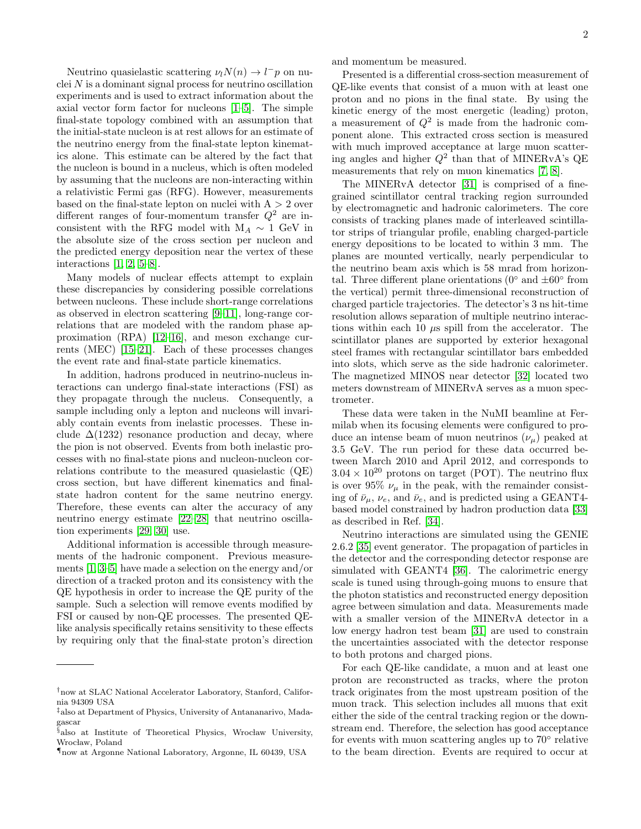Neutrino quasielastic scattering  $\nu_l N(n) \to l^- p$  on nuclei  $N$  is a dominant signal process for neutrino oscillation experiments and is used to extract information about the axial vector form factor for nucleons [\[1–](#page-7-0)[5\]](#page-8-0). The simple final-state topology combined with an assumption that the initial-state nucleon is at rest allows for an estimate of the neutrino energy from the final-state lepton kinematics alone. This estimate can be altered by the fact that the nucleon is bound in a nucleus, which is often modeled by assuming that the nucleons are non-interacting within a relativistic Fermi gas (RFG). However, measurements based on the final-state lepton on nuclei with  $A > 2$  over different ranges of four-momentum transfer  $Q^2$  are inconsistent with the RFG model with  $M_A \sim 1$  GeV in the absolute size of the cross section per nucleon and the predicted energy deposition near the vertex of these interactions [\[1,](#page-7-0) [2,](#page-7-1) [5–](#page-8-0)[8\]](#page-8-1).

Many models of nuclear effects attempt to explain these discrepancies by considering possible correlations between nucleons. These include short-range correlations as observed in electron scattering [\[9–](#page-8-2)[11\]](#page-8-3), long-range correlations that are modeled with the random phase approximation (RPA) [\[12–](#page-8-4)[16\]](#page-8-5), and meson exchange currents (MEC) [\[15–](#page-8-6)[21\]](#page-8-7). Each of these processes changes the event rate and final-state particle kinematics.

In addition, hadrons produced in neutrino-nucleus interactions can undergo final-state interactions (FSI) as they propagate through the nucleus. Consequently, a sample including only a lepton and nucleons will invariably contain events from inelastic processes. These include  $\Delta(1232)$  resonance production and decay, where the pion is not observed. Events from both inelastic processes with no final-state pions and nucleon-nucleon correlations contribute to the measured quasielastic (QE) cross section, but have different kinematics and finalstate hadron content for the same neutrino energy. Therefore, these events can alter the accuracy of any neutrino energy estimate [\[22–](#page-8-8)[28\]](#page-8-9) that neutrino oscillation experiments [\[29,](#page-8-10) [30\]](#page-8-11) use.

Additional information is accessible through measurements of the hadronic component. Previous measurements [\[1,](#page-7-0) [3–](#page-8-12)[5\]](#page-8-0) have made a selection on the energy and/or direction of a tracked proton and its consistency with the QE hypothesis in order to increase the QE purity of the sample. Such a selection will remove events modified by FSI or caused by non-QE processes. The presented QElike analysis specifically retains sensitivity to these effects by requiring only that the final-state proton's direction and momentum be measured.

Presented is a differential cross-section measurement of QE-like events that consist of a muon with at least one proton and no pions in the final state. By using the kinetic energy of the most energetic (leading) proton, a measurement of  $Q^2$  is made from the hadronic component alone. This extracted cross section is measured with much improved acceptance at large muon scattering angles and higher  $Q^2$  than that of MINERvA's QE measurements that rely on muon kinematics [\[7,](#page-8-13) [8\]](#page-8-1).

The MINERvA detector [\[31\]](#page-8-14) is comprised of a finegrained scintillator central tracking region surrounded by electromagnetic and hadronic calorimeters. The core consists of tracking planes made of interleaved scintillator strips of triangular profile, enabling charged-particle energy depositions to be located to within 3 mm. The planes are mounted vertically, nearly perpendicular to the neutrino beam axis which is 58 mrad from horizontal. Three different plane orientations ( $0^{\circ}$  and  $\pm 60^{\circ}$  from the vertical) permit three-dimensional reconstruction of charged particle trajectories. The detector's 3 ns hit-time resolution allows separation of multiple neutrino interactions within each 10  $\mu$ s spill from the accelerator. The scintillator planes are supported by exterior hexagonal steel frames with rectangular scintillator bars embedded into slots, which serve as the side hadronic calorimeter. The magnetized MINOS near detector [\[32\]](#page-8-15) located two meters downstream of MINERvA serves as a muon spectrometer.

These data were taken in the NuMI beamline at Fermilab when its focusing elements were configured to produce an intense beam of muon neutrinos  $(\nu_{\mu})$  peaked at 3.5 GeV. The run period for these data occurred between March 2010 and April 2012, and corresponds to  $3.04 \times 10^{20}$  protons on target (POT). The neutrino flux is over 95%  $\nu_{\mu}$  in the peak, with the remainder consisting of  $\bar{\nu}_u$ ,  $\nu_e$ , and  $\bar{\nu}_e$ , and is predicted using a GEANT4based model constrained by hadron production data [\[33\]](#page-8-16) as described in Ref. [\[34\]](#page-8-17).

Neutrino interactions are simulated using the GENIE 2.6.2 [\[35\]](#page-8-18) event generator. The propagation of particles in the detector and the corresponding detector response are simulated with GEANT4 [\[36\]](#page-8-19). The calorimetric energy scale is tuned using through-going muons to ensure that the photon statistics and reconstructed energy deposition agree between simulation and data. Measurements made with a smaller version of the MINERvA detector in a low energy hadron test beam [\[31\]](#page-8-14) are used to constrain the uncertainties associated with the detector response to both protons and charged pions.

For each QE-like candidate, a muon and at least one proton are reconstructed as tracks, where the proton track originates from the most upstream position of the muon track. This selection includes all muons that exit either the side of the central tracking region or the downstream end. Therefore, the selection has good acceptance for events with muon scattering angles up to 70° relative to the beam direction. Events are required to occur at

<span id="page-3-0"></span><sup>†</sup>now at SLAC National Accelerator Laboratory, Stanford, California 94309 USA

<span id="page-3-1"></span><sup>‡</sup>also at Department of Physics, University of Antananarivo, Madagascar

<span id="page-3-2"></span> $§$ also at Institute of Theoretical Physics, Wrocław University, Wrocław, Poland

<span id="page-3-3"></span><sup>¶</sup>now at Argonne National Laboratory, Argonne, IL 60439, USA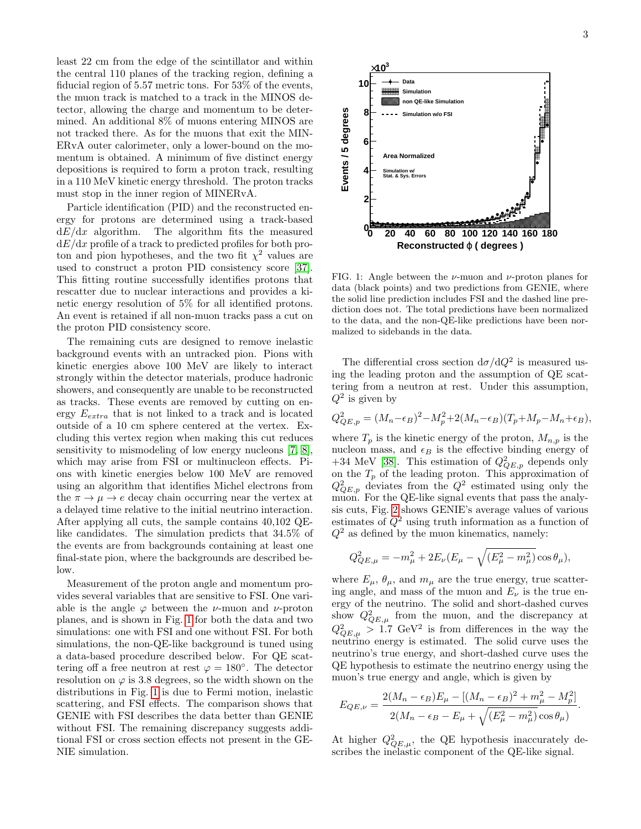least 22 cm from the edge of the scintillator and within the central 110 planes of the tracking region, defining a fiducial region of 5.57 metric tons. For 53% of the events, the muon track is matched to a track in the MINOS detector, allowing the charge and momentum to be determined. An additional 8% of muons entering MINOS are not tracked there. As for the muons that exit the MIN-ERvA outer calorimeter, only a lower-bound on the momentum is obtained. A minimum of five distinct energy depositions is required to form a proton track, resulting in a 110 MeV kinetic energy threshold. The proton tracks must stop in the inner region of MINERvA.

Particle identification (PID) and the reconstructed energy for protons are determined using a track-based  $dE/dx$  algorithm. The algorithm fits the measured  $dE/dx$  profile of a track to predicted profiles for both proton and pion hypotheses, and the two fit  $\chi^2$  values are used to construct a proton PID consistency score [\[37\]](#page-8-20). This fitting routine successfully identifies protons that rescatter due to nuclear interactions and provides a kinetic energy resolution of 5% for all identified protons. An event is retained if all non-muon tracks pass a cut on the proton PID consistency score.

The remaining cuts are designed to remove inelastic background events with an untracked pion. Pions with kinetic energies above 100 MeV are likely to interact strongly within the detector materials, produce hadronic showers, and consequently are unable to be reconstructed as tracks. These events are removed by cutting on energy  $E_{extra}$  that is not linked to a track and is located outside of a 10 cm sphere centered at the vertex. Excluding this vertex region when making this cut reduces sensitivity to mismodeling of low energy nucleons [\[7,](#page-8-13) [8\]](#page-8-1), which may arise from FSI or multinucleon effects. Pions with kinetic energies below 100 MeV are removed using an algorithm that identifies Michel electrons from the  $\pi \to \mu \to e$  decay chain occurring near the vertex at a delayed time relative to the initial neutrino interaction. After applying all cuts, the sample contains 40,102 QElike candidates. The simulation predicts that 34.5% of the events are from backgrounds containing at least one final-state pion, where the backgrounds are described below.

Measurement of the proton angle and momentum provides several variables that are sensitive to FSI. One variable is the angle  $\varphi$  between the *ν*-muon and *ν*-proton planes, and is shown in Fig. [1](#page-4-0) for both the data and two simulations: one with FSI and one without FSI. For both simulations, the non-QE-like background is tuned using a data-based procedure described below. For QE scattering off a free neutron at rest  $\varphi = 180^\circ$ . The detector resolution on  $\varphi$  is 3.8 degrees, so the width shown on the distributions in Fig. [1](#page-4-0) is due to Fermi motion, inelastic scattering, and FSI effects. The comparison shows that GENIE with FSI describes the data better than GENIE without FSI. The remaining discrepancy suggests additional FSI or cross section effects not present in the GE-NIE simulation.



<span id="page-4-0"></span>FIG. 1: Angle between the  $\nu$ -muon and  $\nu$ -proton planes for data (black points) and two predictions from GENIE, where the solid line prediction includes FSI and the dashed line prediction does not. The total predictions have been normalized to the data, and the non-QE-like predictions have been normalized to sidebands in the data.

The differential cross section  $d\sigma/dQ^2$  is measured using the leading proton and the assumption of QE scattering from a neutron at rest. Under this assumption,  $Q^2$  is given by

$$
Q_{QE,p}^{2} = (M_{n} - \epsilon_{B})^{2} - M_{p}^{2} + 2(M_{n} - \epsilon_{B})(T_{p} + M_{p} - M_{n} + \epsilon_{B}),
$$

where  $T_p$  is the kinetic energy of the proton,  $M_{n,p}$  is the nucleon mass, and  $\epsilon_B$  is the effective binding energy of +34 MeV [\[38\]](#page-8-21). This estimation of  $Q^2_{QE,p}$  depends only on the  $T_p$  of the leading proton. This approximation of  $Q_{QE,p}^2$  deviates from the  $Q^2$  estimated using only the muon. For the QE-like signal events that pass the analysis cuts, Fig. [2](#page-5-0) shows GENIE's average values of various estimates of  $Q^2$  using truth information as a function of  $Q^2$  as defined by the muon kinematics, namely:

$$
Q_{QE,\mu}^2 = -m_{\mu}^2 + 2E_{\nu}(E_{\mu} - \sqrt{(E_{\mu}^2 - m_{\mu}^2)} \cos \theta_{\mu}),
$$

where  $E_{\mu}$ ,  $\theta_{\mu}$ , and  $m_{\mu}$  are the true energy, true scattering angle, and mass of the muon and  $E_{\nu}$  is the true energy of the neutrino. The solid and short-dashed curves show  $Q_{QE,\mu}^2$  from the muon, and the discrepancy at  $Q_{QE,\mu}^2 > 1.7 \text{ GeV}^2$  is from differences in the way the neutrino energy is estimated. The solid curve uses the neutrino's true energy, and short-dashed curve uses the QE hypothesis to estimate the neutrino energy using the muon's true energy and angle, which is given by

$$
E_{QE,\nu} = \frac{2(M_n - \epsilon_B)E_\mu - [(M_n - \epsilon_B)^2 + m_\mu^2 - M_p^2]}{2(M_n - \epsilon_B - E_\mu + \sqrt{(E_\mu^2 - m_\mu^2)}\cos\theta_\mu)}
$$

.

At higher  $Q_{QE,\mu}^2$ , the QE hypothesis inaccurately describes the inelastic component of the QE-like signal.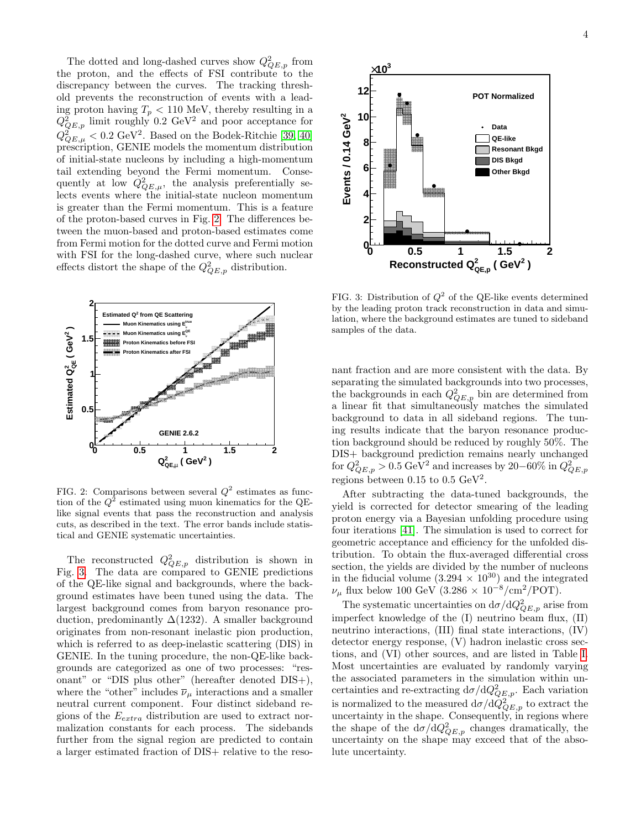The dotted and long-dashed curves show  $Q_{QE,p}^2$  from the proton, and the effects of FSI contribute to the discrepancy between the curves. The tracking threshold prevents the reconstruction of events with a leading proton having  $T_p < 110$  MeV, thereby resulting in a  $Q_{QE,p}^2$  limit roughly 0.2 GeV<sup>2</sup> and poor acceptance for  $Q_{QE,\mu}^2 < 0.2 \text{ GeV}^2$ . Based on the Bodek-Ritchie [\[39,](#page-8-22) [40\]](#page-8-23) prescription, GENIE models the momentum distribution of initial-state nucleons by including a high-momentum tail extending beyond the Fermi momentum. Consequently at low  $Q^2_{QE,\mu}$ , the analysis preferentially selects events where the initial-state nucleon momentum is greater than the Fermi momentum. This is a feature of the proton-based curves in Fig. [2.](#page-5-0) The differences between the muon-based and proton-based estimates come from Fermi motion for the dotted curve and Fermi motion with FSI for the long-dashed curve, where such nuclear effects distort the shape of the  $Q^2_{QE,p}$  distribution.



<span id="page-5-0"></span>FIG. 2: Comparisons between several  $Q^2$  estimates as function of the  $Q^2$  estimated using muon kinematics for the QElike signal events that pass the reconstruction and analysis cuts, as described in the text. The error bands include statistical and GENIE systematic uncertainties.

The reconstructed  $Q_{QE,p}^2$  distribution is shown in Fig. [3.](#page-5-1) The data are compared to GENIE predictions of the QE-like signal and backgrounds, where the background estimates have been tuned using the data. The largest background comes from baryon resonance production, predominantly  $\Delta(1232)$ . A smaller background originates from non-resonant inelastic pion production, which is referred to as deep-inelastic scattering (DIS) in GENIE. In the tuning procedure, the non-QE-like backgrounds are categorized as one of two processes: "resonant" or "DIS plus other" (hereafter denoted DIS+), where the "other" includes  $\overline{\nu}_\mu$  interactions and a smaller neutral current component. Four distinct sideband regions of the  $E_{extra}$  distribution are used to extract normalization constants for each process. The sidebands further from the signal region are predicted to contain a larger estimated fraction of DIS+ relative to the reso-



<span id="page-5-1"></span>FIG. 3: Distribution of  $Q^2$  of the QE-like events determined by the leading proton track reconstruction in data and simulation, where the background estimates are tuned to sideband samples of the data.

nant fraction and are more consistent with the data. By separating the simulated backgrounds into two processes, the backgrounds in each  $Q^2_{QE,p}$  bin are determined from a linear fit that simultaneously matches the simulated background to data in all sideband regions. The tuning results indicate that the baryon resonance production background should be reduced by roughly 50%. The DIS+ background prediction remains nearly unchanged for  $Q_{QE,p}^2 > 0.5 \text{ GeV}^2$  and increases by 20–60% in  $Q_{QE,p}^2$ regions between 0.15 to 0.5  $\text{GeV}^2$ .

After subtracting the data-tuned backgrounds, the yield is corrected for detector smearing of the leading proton energy via a Bayesian unfolding procedure using four iterations [\[41\]](#page-8-24). The simulation is used to correct for geometric acceptance and efficiency for the unfolded distribution. To obtain the flux-averaged differential cross section, the yields are divided by the number of nucleons in the fiducial volume  $(3.294 \times 10^{30})$  and the integrated  $\nu_{\mu}$  flux below 100 GeV (3.286 × 10<sup>-8</sup>/cm<sup>2</sup>/POT).

The systematic uncertainties on  $d\sigma/dQ_{QE,p}^2$  arise from imperfect knowledge of the (I) neutrino beam flux, (II) neutrino interactions, (III) final state interactions, (IV) detector energy response, (V) hadron inelastic cross sections, and (VI) other sources, and are listed in Table [I.](#page-6-0) Most uncertainties are evaluated by randomly varying the associated parameters in the simulation within uncertainties and re-extracting  $d\sigma/dQ^2_{QE,p}$ . Each variation is normalized to the measured  $d\sigma/d\dot{Q}^2_{QE,p}$  to extract the uncertainty in the shape. Consequently, in regions where the shape of the  $d\sigma/dQ_{QE,p}^2$  changes dramatically, the uncertainty on the shape may exceed that of the absolute uncertainty.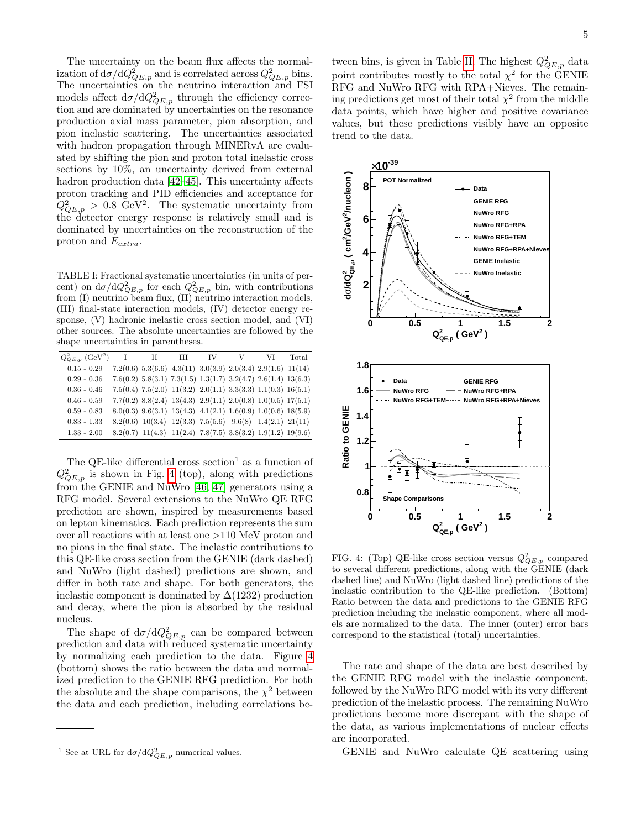The uncertainty on the beam flux affects the normalization of  $d\sigma/dQ^2_{QE,p}$  and is correlated across  $Q^2_{QE,p}$  bins. The uncertainties on the neutrino interaction and FSI models affect  $d\sigma/dQ^2_{QE,p}$  through the efficiency correction and are dominated by uncertainties on the resonance production axial mass parameter, pion absorption, and pion inelastic scattering. The uncertainties associated with hadron propagation through MINERvA are evaluated by shifting the pion and proton total inelastic cross sections by 10%, an uncertainty derived from external hadron production data [\[42](#page-8-25)[–45\]](#page-8-26). This uncertainty affects proton tracking and PID efficiencies and acceptance for  $Q_{QE,p}^2 > 0.8$  GeV<sup>2</sup>. The systematic uncertainty from the detector energy response is relatively small and is dominated by uncertainties on the reconstruction of the proton and  $E_{extra}$ .

<span id="page-6-0"></span>TABLE I: Fractional systematic uncertainties (in units of percent) on  $d\sigma/dQ_{QE,p}^2$  for each  $Q_{QE,p}^2$  bin, with contributions from (I) neutrino beam flux, (II) neutrino interaction models, (III) final-state interaction models, (IV) detector energy response, (V) hadronic inelastic cross section model, and (VI) other sources. The absolute uncertainties are followed by the shape uncertainties in parentheses.

| $Q^2_{QE,p}$ (GeV <sup>2</sup> ) | Н | Ш | IV                                                                          | $\mathbf{V}$ | VI | Total |
|----------------------------------|---|---|-----------------------------------------------------------------------------|--------------|----|-------|
| $0.15 - 0.29$                    |   |   | $7.2(0.6)$ $5.3(6.6)$ $4.3(11)$ $3.0(3.9)$ $2.0(3.4)$ $2.9(1.6)$ $11(14)$   |              |    |       |
| $0.29 - 0.36$                    |   |   | $7.6(0.2)$ $5.8(3.1)$ $7.3(1.5)$ $1.3(1.7)$ $3.2(4.7)$ $2.6(1.4)$ $13(6.3)$ |              |    |       |
| $0.36 - 0.46$                    |   |   | $7.5(0.4)$ $7.5(2.0)$ $11(3.2)$ $2.0(1.1)$ $3.3(3.3)$ $1.1(0.3)$ $16(5.1)$  |              |    |       |
| $0.46 - 0.59$                    |   |   | $7.7(0.2)$ $8.8(2.4)$ $13(4.3)$ $2.9(1.1)$ $2.0(0.8)$ $1.0(0.5)$ $17(5.1)$  |              |    |       |
| $0.59 - 0.83$                    |   |   | $8.0(0.3)$ $9.6(3.1)$ $13(4.3)$ $4.1(2.1)$ $1.6(0.9)$ $1.0(0.6)$ $18(5.9)$  |              |    |       |
| $0.83 - 1.33$                    |   |   | $8.2(0.6)$ 10(3.4) 12(3.3) 7.5(5.6) 9.6(8) 1.4(2.1) 21(11)                  |              |    |       |
| $1.33 - 2.00$                    |   |   | $8.2(0.7)$ $11(4.3)$ $11(2.4)$ $7.8(7.5)$ $3.8(3.2)$ $1.9(1.2)$ $19(9.6)$   |              |    |       |

The QE-like differential cross section<sup>1</sup> as a function of  $Q_{QE,p}^2$  is shown in Fig. [4](#page-6-1) (top), along with predictions from the GENIE and NuWro [\[46,](#page-8-27) [47\]](#page-8-28) generators using a RFG model. Several extensions to the NuWro QE RFG prediction are shown, inspired by measurements based on lepton kinematics. Each prediction represents the sum over all reactions with at least one >110 MeV proton and no pions in the final state. The inelastic contributions to this QE-like cross section from the GENIE (dark dashed) and NuWro (light dashed) predictions are shown, and differ in both rate and shape. For both generators, the inelastic component is dominated by  $\Delta(1232)$  production and decay, where the pion is absorbed by the residual nucleus.

The shape of  $d\sigma/dQ_{QE,p}^2$  can be compared between prediction and data with reduced systematic uncertainty by normalizing each prediction to the data. Figure [4](#page-6-1) (bottom) shows the ratio between the data and normalized prediction to the GENIE RFG prediction. For both the absolute and the shape comparisons, the  $\chi^2$  between the data and each prediction, including correlations be-

tween bins, is given in Table [II.](#page-7-2) The highest  $Q^2_{QE,p}$  data point contributes mostly to the total  $\chi^2$  for the GENIE RFG and NuWro RFG with RPA+Nieves. The remaining predictions get most of their total  $\chi^2$  from the middle data points, which have higher and positive covariance values, but these predictions visibly have an opposite trend to the data.



<span id="page-6-1"></span>FIG. 4: (Top) QE-like cross section versus  $Q^2_{QE,p}$  compared to several different predictions, along with the GENIE (dark dashed line) and NuWro (light dashed line) predictions of the inelastic contribution to the QE-like prediction. (Bottom) Ratio between the data and predictions to the GENIE RFG prediction including the inelastic component, where all models are normalized to the data. The inner (outer) error bars correspond to the statistical (total) uncertainties.

The rate and shape of the data are best described by the GENIE RFG model with the inelastic component, followed by the NuWro RFG model with its very different prediction of the inelastic process. The remaining NuWro predictions become more discrepant with the shape of the data, as various implementations of nuclear effects are incorporated.

GENIE and NuWro calculate QE scattering using

<sup>&</sup>lt;sup>1</sup> See at URL for  $d\sigma/dQ_{QE,p}^2$  numerical values.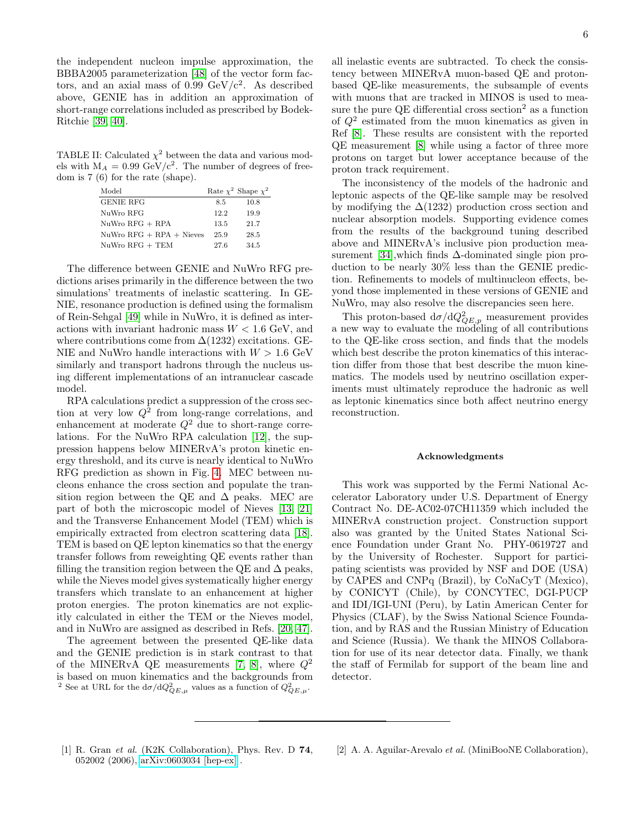the independent nucleon impulse approximation, the BBBA2005 parameterization [\[48\]](#page-8-29) of the vector form factors, and an axial mass of  $0.99 \text{ GeV}/c^2$ . As described above, GENIE has in addition an approximation of short-range correlations included as prescribed by Bodek-Ritchie [\[39,](#page-8-22) [40\]](#page-8-23).

TABLE II: Calculated  $\chi^2$  between the data and various models with  $M_A = 0.99$  GeV/c<sup>2</sup>. The number of degrees of freedom is 7 (6) for the rate (shape).

<span id="page-7-2"></span>

| Model                      |      | Rate $\chi^2$ Shape $\chi^2$ |
|----------------------------|------|------------------------------|
| <b>GENIE RFG</b>           | 8.5  | 10.8                         |
| NuWro RFG                  | 12.2 | 19.9                         |
| $NuWro RFG + RPA$          | 13.5 | 21.7                         |
| $NuWro RFG + RPA + Nieves$ | 25.9 | 28.5                         |
| $NuWro$ RFG $+$ TEM        | 27.6 | 34.5                         |

The difference between GENIE and NuWro RFG predictions arises primarily in the difference between the two simulations' treatments of inelastic scattering. In GE-NIE, resonance production is defined using the formalism of Rein-Sehgal [\[49\]](#page-8-30) while in NuWro, it is defined as interactions with invariant hadronic mass  $W < 1.6$  GeV, and where contributions come from  $\Delta(1232)$  excitations. GE-NIE and NuWro handle interactions with  $W > 1.6$  GeV similarly and transport hadrons through the nucleus using different implementations of an intranuclear cascade model.

RPA calculations predict a suppression of the cross section at very low  $Q^2$  from long-range correlations, and enhancement at moderate  $Q^2$  due to short-range correlations. For the NuWro RPA calculation [\[12\]](#page-8-4), the suppression happens below MINERvA's proton kinetic energy threshold, and its curve is nearly identical to NuWro RFG prediction as shown in Fig. [4.](#page-6-1) MEC between nucleons enhance the cross section and populate the transition region between the QE and  $\Delta$  peaks. MEC are part of both the microscopic model of Nieves [\[13,](#page-8-31) [21\]](#page-8-7) and the Transverse Enhancement Model (TEM) which is empirically extracted from electron scattering data [\[18\]](#page-8-32). TEM is based on QE lepton kinematics so that the energy transfer follows from reweighting QE events rather than filling the transition region between the QE and  $\Delta$  peaks, while the Nieves model gives systematically higher energy transfers which translate to an enhancement at higher proton energies. The proton kinematics are not explicitly calculated in either the TEM or the Nieves model, and in NuWro are assigned as described in Refs. [\[20,](#page-8-33) [47\]](#page-8-28).

The agreement between the presented QE-like data and the GENIE prediction is in stark contrast to that of the MINERvA QE measurements [\[7,](#page-8-13) [8\]](#page-8-1), where  $Q^2$ is based on muon kinematics and the backgrounds from <sup>2</sup> See at URL for the  $d\sigma/dQ_{QE,\mu}^2$  values as a function of  $Q_{QE,\mu}^2$ .

all inelastic events are subtracted. To check the consistency between MINERvA muon-based QE and protonbased QE-like measurements, the subsample of events with muons that are tracked in MINOS is used to measure the pure QE differential cross section<sup>2</sup> as a function of  $Q^2$  estimated from the muon kinematics as given in Ref [\[8\]](#page-8-1). These results are consistent with the reported QE measurement [\[8\]](#page-8-1) while using a factor of three more protons on target but lower acceptance because of the proton track requirement.

The inconsistency of the models of the hadronic and leptonic aspects of the QE-like sample may be resolved by modifying the  $\Delta(1232)$  production cross section and nuclear absorption models. Supporting evidence comes from the results of the background tuning described above and MINERvA's inclusive pion production measurement [\[34\]](#page-8-17),which finds ∆-dominated single pion production to be nearly 30% less than the GENIE prediction. Refinements to models of multinucleon effects, beyond those implemented in these versions of GENIE and NuWro, may also resolve the discrepancies seen here.

This proton-based  $d\sigma/dQ_{QE,p}^2$  measurement provides a new way to evaluate the modeling of all contributions to the QE-like cross section, and finds that the models which best describe the proton kinematics of this interaction differ from those that best describe the muon kinematics. The models used by neutrino oscillation experiments must ultimately reproduce the hadronic as well as leptonic kinematics since both affect neutrino energy reconstruction.

#### Acknowledgments

This work was supported by the Fermi National Accelerator Laboratory under U.S. Department of Energy Contract No. DE-AC02-07CH11359 which included the MINERvA construction project. Construction support also was granted by the United States National Science Foundation under Grant No. PHY-0619727 and by the University of Rochester. Support for participating scientists was provided by NSF and DOE (USA) by CAPES and CNPq (Brazil), by CoNaCyT (Mexico), by CONICYT (Chile), by CONCYTEC, DGI-PUCP and IDI/IGI-UNI (Peru), by Latin American Center for Physics (CLAF), by the Swiss National Science Foundation, and by RAS and the Russian Ministry of Education and Science (Russia). We thank the MINOS Collaboration for use of its near detector data. Finally, we thank the staff of Fermilab for support of the beam line and detector.

- <span id="page-7-0"></span>[1] R. Gran *et al.* (K2K Collaboration), Phys. Rev. D 74, 052002 (2006), [arXiv:0603034 \[hep-ex\]](http://arxiv.org/abs/0603034) .
- <span id="page-7-1"></span>[2] A. A. Aguilar-Arevalo et al. (MiniBooNE Collaboration),